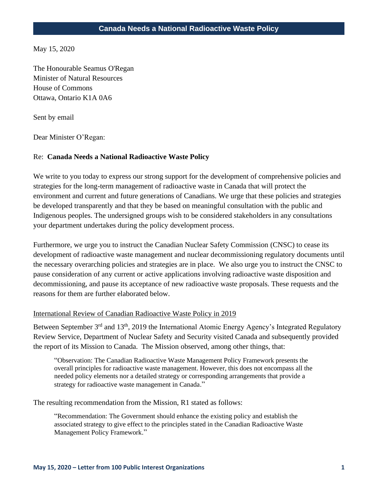May 15, 2020

The Honourable Seamus O'Regan Minister of Natural Resources House of Commons Ottawa, Ontario K1A 0A6

Sent by email

Dear Minister O'Regan:

### Re: **Canada Needs a National Radioactive Waste Policy**

We write to you today to express our strong support for the development of comprehensive policies and strategies for the long-term management of radioactive waste in Canada that will protect the environment and current and future generations of Canadians. We urge that these policies and strategies be developed transparently and that they be based on meaningful consultation with the public and Indigenous peoples. The undersigned groups wish to be considered stakeholders in any consultations your department undertakes during the policy development process.

Furthermore, we urge you to instruct the Canadian Nuclear Safety Commission (CNSC) to cease its development of radioactive waste management and nuclear decommissioning regulatory documents until the necessary overarching policies and strategies are in place. We also urge you to instruct the CNSC to pause consideration of any current or active applications involving radioactive waste disposition and decommissioning, and pause its acceptance of new radioactive waste proposals. These requests and the reasons for them are further elaborated below.

#### International Review of Canadian Radioactive Waste Policy in 2019

Between September 3<sup>rd</sup> and 13<sup>th</sup>, 2019 the International Atomic Energy Agency's Integrated Regulatory Review Service, Department of Nuclear Safety and Security visited Canada and subsequently provided the report of its Mission to Canada. The Mission observed, among other things, that:

"Observation: The Canadian Radioactive Waste Management Policy Framework presents the overall principles for radioactive waste management. However, this does not encompass all the needed policy elements nor a detailed strategy or corresponding arrangements that provide a strategy for radioactive waste management in Canada."

The resulting recommendation from the Mission, R1 stated as follows:

"Recommendation: The Government should enhance the existing policy and establish the associated strategy to give effect to the principles stated in the Canadian Radioactive Waste Management Policy Framework."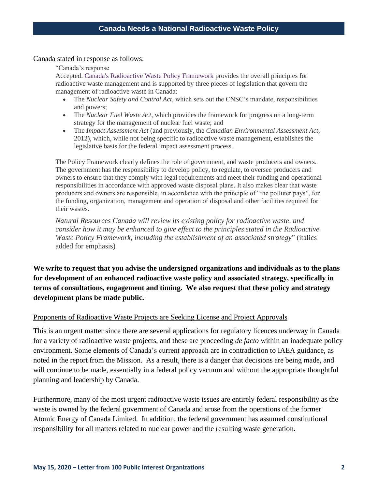#### Canada stated in response as follows:

"Canada's response

Accepted. [Canada's Radioactive Waste Policy Framework](https://www.nrcan.gc.ca/energy/energy-sources-distribution/uranium-nuclear-energy/radioactive-waste/radioactive-waste-policy-framework/7725) provides the overall principles for radioactive waste management and is supported by three pieces of legislation that govern the management of radioactive waste in Canada:

- The *Nuclear Safety and Control Act*, which sets out the CNSC's mandate, responsibilities and powers;
- The *Nuclear Fuel Waste Act*, which provides the framework for progress on a long-term strategy for the management of nuclear fuel waste; and
- The *Impact Assessment Act* (and previously, the *Canadian Environmental Assessment Act*, 2012), which, while not being specific to radioactive waste management, establishes the legislative basis for the federal impact assessment process.

The Policy Framework clearly defines the role of government, and waste producers and owners. The government has the responsibility to develop policy, to regulate, to oversee producers and owners to ensure that they comply with legal requirements and meet their funding and operational responsibilities in accordance with approved waste disposal plans. It also makes clear that waste producers and owners are responsible, in accordance with the principle of "the polluter pays", for the funding, organization, management and operation of disposal and other facilities required for their wastes.

*Natural Resources Canada will review its existing policy for radioactive waste, and consider how it may be enhanced to give effect to the principles stated in the Radioactive Waste Policy Framework, including the establishment of an associated strategy*" (italics added for emphasis)

**We write to request that you advise the undersigned organizations and individuals as to the plans for development of an enhanced radioactive waste policy and associated strategy, specifically in terms of consultations, engagement and timing. We also request that these policy and strategy development plans be made public.**

#### Proponents of Radioactive Waste Projects are Seeking License and Project Approvals

This is an urgent matter since there are several applications for regulatory licences underway in Canada for a variety of radioactive waste projects, and these are proceeding *de facto* within an inadequate policy environment. Some elements of Canada's current approach are in contradiction to IAEA guidance, as noted in the report from the Mission. As a result, there is a danger that decisions are being made, and will continue to be made, essentially in a federal policy vacuum and without the appropriate thoughtful planning and leadership by Canada.

Furthermore, many of the most urgent radioactive waste issues are entirely federal responsibility as the waste is owned by the federal government of Canada and arose from the operations of the former Atomic Energy of Canada Limited. In addition, the federal government has assumed constitutional responsibility for all matters related to nuclear power and the resulting waste generation.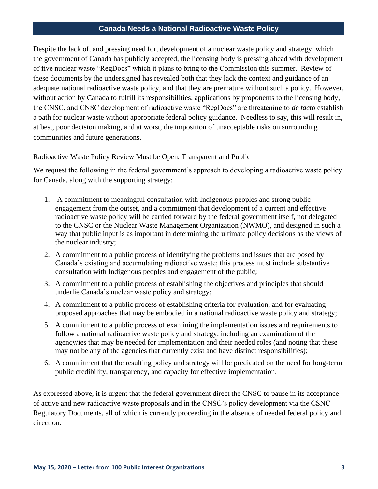Despite the lack of, and pressing need for, development of a nuclear waste policy and strategy, which the government of Canada has publicly accepted, the licensing body is pressing ahead with development of five nuclear waste "RegDocs" which it plans to bring to the Commission this summer. Review of these documents by the undersigned has revealed both that they lack the context and guidance of an adequate national radioactive waste policy, and that they are premature without such a policy. However, without action by Canada to fulfill its responsibilities, applications by proponents to the licensing body, the CNSC, and CNSC development of radioactive waste "RegDocs" are threatening to *de facto* establish a path for nuclear waste without appropriate federal policy guidance. Needless to say, this will result in, at best, poor decision making, and at worst, the imposition of unacceptable risks on surrounding communities and future generations.

### Radioactive Waste Policy Review Must be Open, Transparent and Public

We request the following in the federal government's approach to developing a radioactive waste policy for Canada, along with the supporting strategy:

- 1. A commitment to meaningful consultation with Indigenous peoples and strong public engagement from the outset, and a commitment that development of a current and effective radioactive waste policy will be carried forward by the federal government itself, not delegated to the CNSC or the Nuclear Waste Management Organization (NWMO), and designed in such a way that public input is as important in determining the ultimate policy decisions as the views of the nuclear industry;
- 2. A commitment to a public process of identifying the problems and issues that are posed by Canada's existing and accumulating radioactive waste; this process must include substantive consultation with Indigenous peoples and engagement of the public;
- 3. A commitment to a public process of establishing the objectives and principles that should underlie Canada's nuclear waste policy and strategy;
- 4. A commitment to a public process of establishing criteria for evaluation, and for evaluating proposed approaches that may be embodied in a national radioactive waste policy and strategy;
- 5. A commitment to a public process of examining the implementation issues and requirements to follow a national radioactive waste policy and strategy, including an examination of the agency/ies that may be needed for implementation and their needed roles (and noting that these may not be any of the agencies that currently exist and have distinct responsibilities);
- 6. A commitment that the resulting policy and strategy will be predicated on the need for long-term public credibility, transparency, and capacity for effective implementation.

As expressed above, it is urgent that the federal government direct the CNSC to pause in its acceptance of active and new radioactive waste proposals and in the CNSC's policy development via the CSNC Regulatory Documents, all of which is currently proceeding in the absence of needed federal policy and direction.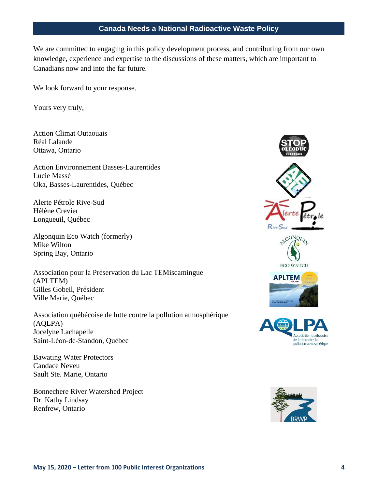We are committed to engaging in this policy development process, and contributing from our own knowledge, experience and expertise to the discussions of these matters, which are important to Canadians now and into the far future.

We look forward to your response.

Yours very truly,

Action Climat Outaouais Réal Lalande Ottawa, Ontario

Action Environnement Basses-Laurentides Lucie Massé Oka, Basses-Laurentides, Québec

Alerte Pétrole Rive-Sud Hélène Crevier Longueuil, Québec

Algonquin Eco Watch (formerly) Mike Wilton Spring Bay, Ontario

Association pour la Préservation du Lac TEMiscamingue (APLTEM) Gilles Gobeil, Président Ville Marie, Québec

Association québécoise de lutte contre la pollution atmosphérique (AQLPA) Jocelyne Lachapelle Saint-Léon-de-Standon, Québec

Bawating Water Protectors Candace Neveu Sault Ste. Marie, Ontario

Bonnechere River Watershed Project Dr. Kathy Lindsay Renfrew, Ontario





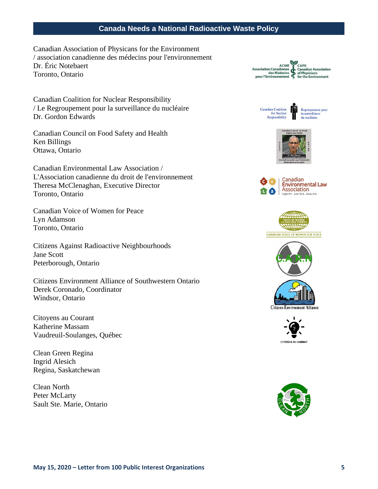Canadian Association of Physicans for the Environment / association canadienne des médecins pour l'environnement Dr. Éric Notebaert Toronto, Ontario

Canadian Coalition for Nuclear Responsibility / Le Regroupement pour la surveillance du nucléaire Dr. Gordon Edwards

Canadian Council on Food Safety and Health Ken Billings Ottawa, Ontario

Canadian Environmental Law Association / L'Association canadienne du droit de l'environnement Theresa McClenaghan, Executive Director Toronto, Ontario

Canadian Voice of Women for Peace Lyn Adamson Toronto, Ontario

Citizens Against Radioactive Neighbourhoods Jane Scott Peterborough, Ontario

Citizens Environment Alliance of Southwestern Ontario Derek Coronado, Coordinator Windsor, Ontario

Citoyens au Courant Katherine Massam Vaudreuil-Soulanges, Québec

Clean Green Regina Ingrid Alesich Regina, Saskatchewan

Clean North Peter McLarty Sault Ste. Marie, Ontario



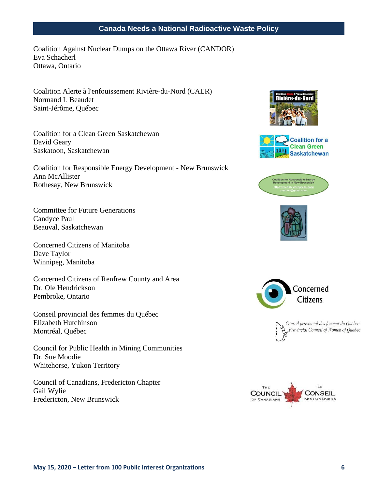Coalition Against Nuclear Dumps on the Ottawa River (CANDOR) Eva Schacherl Ottawa, Ontario

Coalition Alerte à l'enfouissement Rivière-du-Nord (CAER) Normand L Beaudet Saint-Jérôme, Québec

Coalition for a Clean Green Saskatchewan David Geary Saskatoon, Saskatchewan

Coalition for Responsible Energy Development - New Brunswick Ann McAllister Rothesay, New Brunswick

Committee for Future Generations Candyce Paul Beauval, Saskatchewan

Concerned Citizens of Manitoba Dave Taylor Winnipeg, Manitoba

Concerned Citizens of Renfrew County and Area Dr. Ole Hendrickson Pembroke, Ontario

Conseil provincial des femmes du Québec Elizabeth Hutchinson Montréal, Québec

Council for Public Health in Mining Communities Dr. Sue Moodie Whitehorse, Yukon Territory

Council of Canadians, Fredericton Chapter Gail Wylie Fredericton, New Brunswick











Conseil provincial des femmes du Québec Provincial Council of Women of Quebec

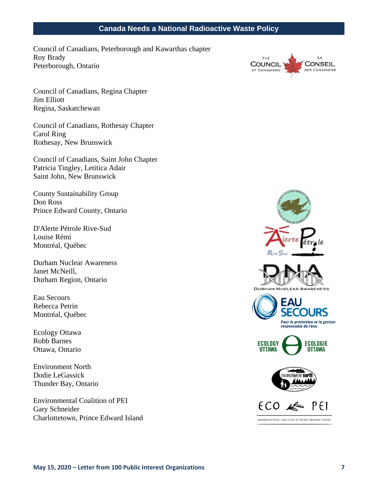Council of Canadians, Peterborough and Kawarthas chapter Roy Brady Peterborough, Ontario



Council of Canadians, Regina Chapter Jim Elliott Regina, Saskatchewan

Council of Canadians, Rothesay Chapter Carol Ring Rothesay, New Brunswick

Council of Canadians, Saint John Chapter Patricia Tingley, Letitica Adair Saint John, New Brunswick

County Sustainability Group Don Ross Prince Edward County, Ontario

D'Alerte Pétrole Rive-Sud Louise Rémi Montréal, Québec

Durham Nuclear Awareness Janet McNeill, Durham Region, Ontario

Eau Secours Rebecca Petrin Montréal, Québec

Ecology Ottawa Robb Barnes Ottawa, Ontario

Environment North Dodie LeGassick Thunder Bay, Ontario

Environmental Coalition of PEI Gary Schneider Charlottetown, Prince Edward Island



ENVIRONMENTAL COALITION OF PRINCE EDWARD ISLAND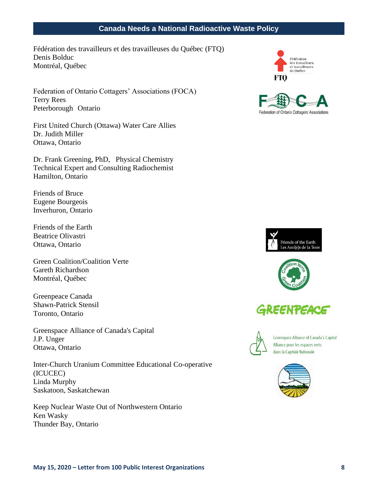Fédération des travailleurs et des travailleuses du Québec (FTQ) Denis Bolduc Montréal, Québec

Federation of Ontario Cottagers' Associations (FOCA) Terry Rees Peterborough Ontario

First United Church (Ottawa) Water Care Allies Dr. Judith Miller Ottawa, Ontario

Dr. Frank Greening, PhD, Physical Chemistry Technical Expert and Consulting Radiochemist Hamilton, Ontario

Friends of Bruce Eugene Bourgeois Inverhuron, Ontario

Friends of the Earth Beatrice Olivastri Ottawa, Ontario

Green Coalition/Coalition Verte Gareth Richardson Montréal, Québec

Greenpeace Canada Shawn-Patrick Stensil Toronto, Ontario

Greenspace Alliance of Canada's Capital J.P. Unger Ottawa, Ontario

Inter-Church Uranium Committee Educational Co-operative (ICUCEC) Linda Murphy Saskatoon, Saskatchewan

Keep Nuclear Waste Out of Northwestern Ontario Ken Wasky Thunder Bay, Ontario







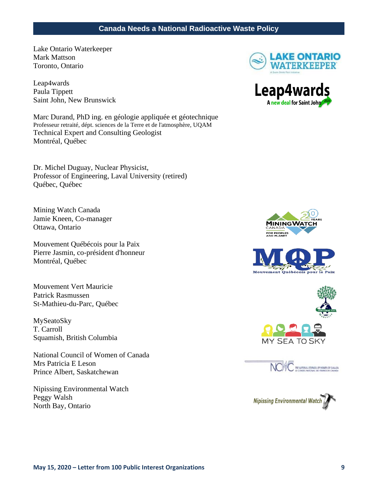Lake Ontario Waterkeeper Mark Mattson Toronto, Ontario

Leap4wards Paula Tippett Saint John, New Brunswick

Marc Durand, PhD ing. en géologie appliquée et géotechnique Professeur retraité, dépt. sciences de la Terre et de l'atmosphère, UQAM Technical Expert and Consulting Geologist Montréal, Québec

Dr. Michel Duguay, Nuclear Physicist, Professor of Engineering, Laval University (retired) Québec, Québec

Mining Watch Canada Jamie Kneen, Co-manager Ottawa, Ontario

Mouvement Québécois pour la Paix Pierre Jasmin, co-président d'honneur Montréal, Québec

Mouvement Vert Mauricie Patrick Rasmussen St-Mathieu-du-Parc, Québec

MySeatoSky T. Carroll Squamish, British Columbia

National Council of Women of Canada Mrs Patricia E Leson Prince Albert, Saskatchewan

Nipissing Environmental Watch Peggy Walsh North Bay, Ontario











**NO AC** BE NATIONAL COUNCIL OF WOMEN OF CANADA

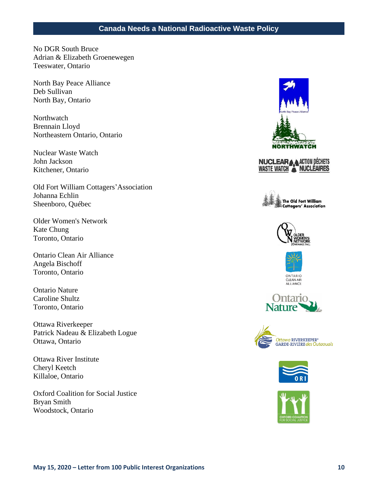No DGR South Bruce Adrian & Elizabeth Groenewegen Teeswater, Ontario

North Bay Peace Alliance Deb Sullivan North Bay, Ontario

**Northwatch** Brennain Lloyd Northeastern Ontario, Ontario

Nuclear Waste Watch John Jackson Kitchener, Ontario

Old Fort William Cottagers'Association Johanna Echlin Sheenboro, Québec

Older Women's Network Kate Chung Toronto, Ontario

Ontario Clean Air Alliance Angela Bischoff Toronto, Ontario

Ontario Nature Caroline Shultz Toronto, Ontario

Ottawa Riverkeeper Patrick Nadeau & Elizabeth Logue Ottawa, Ontario

Ottawa River Institute Cheryl Keetch Killaloe, Ontario

Oxford Coalition for Social Justice Bryan Smith Woodstock, Ontario

















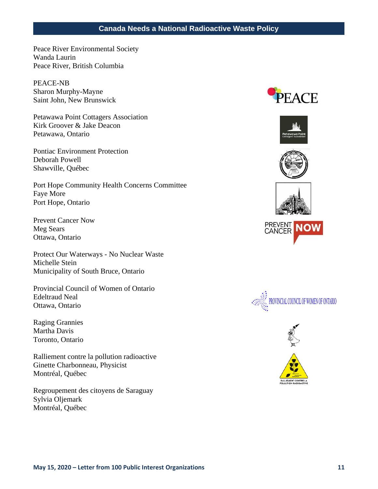Peace River Environmental Society Wanda Laurin Peace River, British Columbia

PEACE-NB Sharon Murphy-Mayne Saint John, New Brunswick

Petawawa Point Cottagers Association Kirk Groover & Jake Deacon Petawawa, Ontario

Pontiac Environment Protection Deborah Powell Shawville, Québec

Port Hope Community Health Concerns Committee Faye More Port Hope, Ontario

Prevent Cancer Now Meg Sears Ottawa, Ontario

Protect Our Waterways - No Nuclear Waste Michelle Stein Municipality of South Bruce, Ontario

Provincial Council of Women of Ontario Edeltraud Neal Ottawa, Ontario

Raging Grannies Martha Davis Toronto, Ontario

Ralliement contre la pollution radioactive Ginette Charbonneau, Physicist Montréal, Québec

Regroupement des citoyens de Saraguay Sylvia Oljemark Montréal, Québec











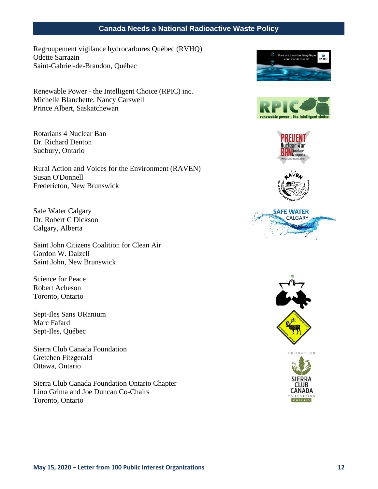Regroupement vigilance hydrocarbures Québec (RVHQ) Odette Sarrazin Saint-Gabriel-de-Brandon, Québec

Renewable Power - the Intelligent Choice (RPIC) inc. Michelle Blanchette, Nancy Carswell Prince Albert, Saskatchewan

Rotarians 4 Nuclear Ban Dr. Richard Denton Sudbury, Ontario

Rural Action and Voices for the Environment (RAVEN) Susan O'Donnell Fredericton, New Brunswick

Safe Water Calgary Dr. Robert C Dickson Calgary, Alberta

Saint John Citizens Coalition for Clean Air Gordon W. Dalzell Saint John, New Brunswick

Science for Peace Robert Acheson Toronto, Ontario

Sept-Iles Sans URanium Marc Fafard Sept-Iles, Québec

Sierra Club Canada Foundation Gretchen Fitzgerald Ottawa, Ontario

Sierra Club Canada Foundation Ontario Chapter Lino Grima and Joe Duncan Co-Chairs Toronto, Ontario









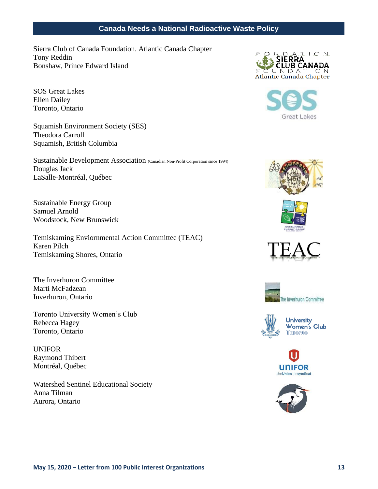Sierra Club of Canada Foundation. Atlantic Canada Chapter Tony Reddin Bonshaw, Prince Edward Island

SOS Great Lakes Ellen Dailey Toronto, Ontario

Squamish Environment Society (SES) Theodora Carroll Squamish, British Columbia

Sustainable Development Association (Canadian Non-Profit Corporation since 1994) Douglas Jack LaSalle-Montréal, Québec

Sustainable Energy Group Samuel Arnold Woodstock, New Brunswick

Temiskaming Enviornmental Action Committee (TEAC) Karen Pilch Temiskaming Shores, Ontario

The Inverhuron Committee Marti McFadzean Inverhuron, Ontario

Toronto University Women's Club Rebecca Hagey Toronto, Ontario

UNIFOR Raymond Thibert Montréal, Québec

Watershed Sentinel Educational Society Anna Tilman Aurora, Ontario